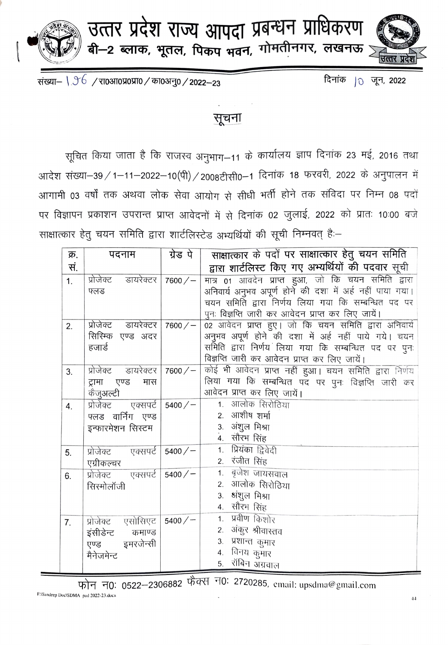

उत्तर प्रदेश राज्य आपदा प्रबन्धन प्राधिकरण<br>बी–2 ब्लाक, भूतल, पिकप भवन, गोमतीनगर, लखनऊ

संख्या- \  $36$  / रा0आ0प्र0प्रा0 / का0अनु0 / 2022-23

दिनांक |<sub>0</sub> जून, 2022

## सूचना

सूचित किया जाता है कि राजस्व अनुभाग-11 के कार्यालय ज्ञाप दिनांक 23 मई, 2016 तथा आदेश संख्या-39 / 1-11-2022-10(पी) / 2008टीसी0-1 दिनांक 18 फरवरी, 2022 के अनुपालन में आगामी 03 वर्षों तक अथवा लोक सेवा आयोग से सीधी भर्ती होने तक संविदा पर निम्न 08 पदों पर विज्ञापन प्रकाशन उपरान्त प्राप्त आवेदनों में से दिनांक 02 जुलाई, 2022 को प्रातः 10:00 बजे साक्षात्कार हेतु चयन समिति द्वारा शार्टलिस्टेड अभ्यर्थियों की सूची निम्नवत् हैं:-

| क्र.           | पदनाम                         | ग्रेड पे   | साक्षात्कार के पदों पर साक्षात्कार हेतु चयन समिति         |
|----------------|-------------------------------|------------|-----------------------------------------------------------|
| सं.            |                               |            | द्वारा शार्टलिस्ट किए गए अभ्यर्थियों की पदवार सूची        |
| 1 <sub>1</sub> | प्रोजेक्ट डायरेक्टर           | $7600 / -$ | मात्र 01 आवदेन प्राप्त हुआ, जो कि चयन समिति द्वारा        |
|                | फ्लड                          |            | अनिवार्य अनुभव अपूर्ण होने की दशा में अर्ह नहीं पाया गया। |
|                |                               |            | चयन समिति द्वारा निर्णय लिया गया कि सम्बन्धित पद पर       |
|                |                               |            | पुनः विज्ञप्ति जारी कर आवेदन प्राप्त कर लिए जायें।        |
| 2.             | प्रोजेक्ट डायरेक्टर           | $7600 / -$ | 02 आवेदन प्राप्त हुए। जो कि चयन समिति द्वारा अनिवार्य     |
|                | सिरिम्क एण्ड अदर              |            | अनुभव अपूर्ण होने की दशा में अर्ह नहीं पाये गये। चयन      |
|                | हजार्ड                        |            | समिति द्वारा निर्णय लिया गया कि सम्बन्धित पद पर पुनः      |
|                |                               |            | विज्ञप्ति जारी कर आवेदन प्राप्त कर लिए जायें।             |
| 3.             | प्रोजेक्ट डायरेक्टर 7600/ $-$ |            | कोई भी आवेदन प्राप्त नहीं हुआ। चयन समिति द्वारा निर्णय    |
|                | ट्रामा एण्ड<br>मास            |            | लिया गया कि सम्बन्धित पद पर पुनः विज्ञप्ति जारी कर        |
|                | कैजुअल्टी                     |            | आवेदन प्राप्त कर लिए जायें।                               |
| 4.             | प्रोजेक्ट एक्सपर्ट            | 5400/      | 1. आलोक सिरोठिया                                          |
|                | फ्लड वार्निंग एण्ड            |            | 2. आशीष शर्मा                                             |
|                | इन्फारमेशन सिस्टम             |            | 3. अंशुल मिश्रा<br>4. सौरभ सिंह                           |
|                |                               |            | 1. प्रियंका द्विवेदी                                      |
| 5.             | प्रोजेक्ट एक्सपर्ट   5400/–   |            | 2. रंजीत सिंह                                             |
|                | एग्रीकल्चर                    |            | 1. बृजेश जायसवाल                                          |
| 6.             | प्रोजेक्ट एक्सपर्ट            | 5400/      | 2. आलोक सिरोठिया                                          |
|                | सिरमोलॉजी                     |            | 3. अंशुल मिश्रा                                           |
|                |                               |            | 4. सौरभ सिंह                                              |
|                |                               |            | 1. प्रवीण किशोर                                           |
| 7.             | प्रोजेक्ट एसोसिएट             | 5400/      | 2. अंकुर श्रीवास्तव                                       |
|                | इंसीडेन्ट कमाण्ड              |            | 3. प्रशान्त कुमार                                         |
|                | एण्ड इमरजेन्सी                |            | 4. विनय कुमार                                             |
|                | मैनेजमेन्ट                    |            | रॉबिन अग्रवाल<br>5.                                       |
|                |                               |            |                                                           |